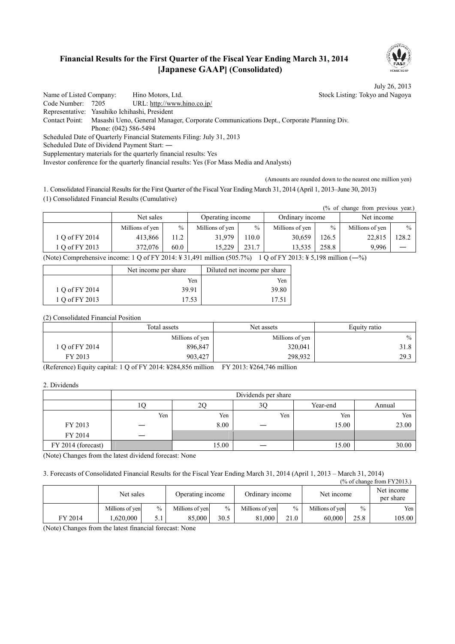## **Financial Results for the First Quarter of the Fiscal Year Ending March 31, 2014 [Japanese GAAP] (Consolidated)**



 $\overline{N}$  of change  $\overline{S}$ 

July 26, 2013

Name of Listed Company: Hino Motors, Ltd. Stock Listing: Tokyo and Nagoya Code Number: 7205 URL: http://www.hino.co.jp/ Representative: Yasuhiko Ichihashi, President Contact Point: Masashi Ueno, General Manager, Corporate Communications Dept., Corporate Planning Div. Phone: (042) 586-5494 Scheduled Date of Quarterly Financial Statements Filing: July 31, 2013 Scheduled Date of Dividend Payment Start: ― Supplementary materials for the quarterly financial results: Yes Investor conference for the quarterly financial results: Yes (For Mass Media and Analysts)

(Amounts are rounded down to the nearest one million yen)

1. Consolidated Financial Results for the First Quarter of the Fiscal Year Ending March 31, 2014 (April 1, 2013–June 30, 2013) (1) Consolidated Financial Results (Cumulative)

| (% of change from previous year.) |                 |                  |                 |               |                 |                 |                 |       |            |  |
|-----------------------------------|-----------------|------------------|-----------------|---------------|-----------------|-----------------|-----------------|-------|------------|--|
|                                   | Net sales       | Operating income |                 |               |                 | Ordinary income |                 |       | Net income |  |
|                                   | Millions of yen | $\frac{0}{0}$    | Millions of yen | $\frac{0}{0}$ | Millions of yen | $\frac{0}{0}$   | Millions of yen | $\%$  |            |  |
| 1 O of FY 2014                    | 413,866         | 11.2             | 31.979          | 10.0          | 30,659          | 126.5           | 22,815          | 128.2 |            |  |
| 1 Q of FY 2013                    | 372,076         | 60.0             | 15.229          | 231.7         | 13.535          | 258.8           | 9.996           |       |            |  |

(Note) Comprehensive income: 1 Q of FY 2014:  $\frac{1}{2}$  31,491 million (505.7%) 1 Q of FY 2013:  $\frac{1}{2}$  5,198 million (-%)

|                | Net income per share | Diluted net income per share |
|----------------|----------------------|------------------------------|
|                | Yen                  | Yen                          |
| 1 Q of FY 2014 | 39.91                | 39.80                        |
| 1 Q of FY 2013 | 17.53                | 17.51                        |

(2) Consolidated Financial Position

|              | Total assets    | Net assets      |      |
|--------------|-----------------|-----------------|------|
|              | Millions of yen | Millions of yen | $\%$ |
| 0 of FY 2014 | 896,847         | 320,041         | 31.8 |
| FY 2013      | 903,427         | 298,932         | 29.3 |

(Reference) Equity capital: 1 Q of FY 2014: ¥284,856 million FY 2013: ¥264,746 million

2. Dividends

|                    |     |       | Dividends per share |          |        |
|--------------------|-----|-------|---------------------|----------|--------|
|                    | 10  |       | 3Ç                  | Year-end | Annual |
|                    | Yen | Yen   | Yen                 | Yen      | Yen    |
| FY 2013            |     | 8.00  |                     | 15.00    | 23.00  |
| FY 2014            | —   |       |                     |          |        |
| FY 2014 (forecast) |     | 15.00 |                     | 15.00    | 30.00  |

(Note) Changes from the latest dividend forecast: None

3. Forecasts of Consolidated Financial Results for the Fiscal Year Ending March 31, 2014 (April 1, 2013 – March 31, 2014)

| (% of change from FY 2013.) |                 |               |                  |               |                 |               |                 |               |                         |
|-----------------------------|-----------------|---------------|------------------|---------------|-----------------|---------------|-----------------|---------------|-------------------------|
|                             | Net sales       |               | Operating income |               | Ordinary income |               | Net income      |               | Net income<br>per share |
|                             | Millions of yen | $\frac{0}{0}$ | Millions of yen  | $\frac{0}{0}$ | Millions of yen | $\frac{0}{0}$ | Millions of yen | $\frac{0}{0}$ | Yen                     |
| FY 2014                     | .620.000        |               | 85,000           | 30.5          | 81.000          | 21.0          | 60.000          | 25.8          | 105.00                  |

(Note) Changes from the latest financial forecast: None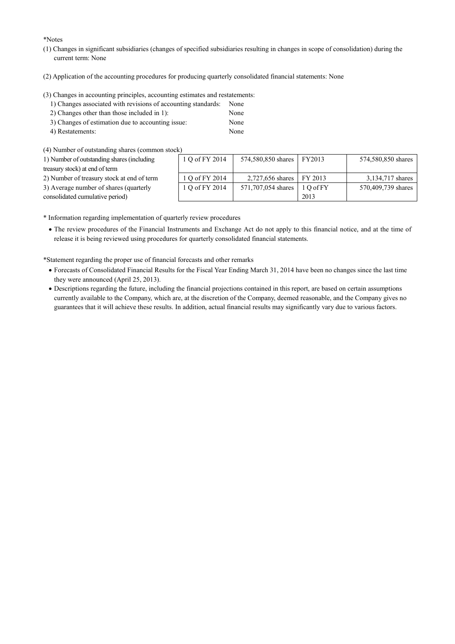\*Notes

- (1) Changes in significant subsidiaries (changes of specified subsidiaries resulting in changes in scope of consolidation) during the current term: None
- (2) Application of the accounting procedures for producing quarterly consolidated financial statements: None

(3) Changes in accounting principles, accounting estimates and restatements:

- 1) Changes associated with revisions of accounting standards: None
- 2) Changes other than those included in 1): None
- 3) Changes of estimation due to accounting issue: None
- 4) Restatements: None

(4) Number of outstanding shares (common stock)

| 1) Number of outstanding shares (including | 1 Q of FY 2014 | 574,580,850 shares FY2013 |            | 574,580,850 shares |
|--------------------------------------------|----------------|---------------------------|------------|--------------------|
| treasury stock) at end of term             |                |                           |            |                    |
| 2) Number of treasury stock at end of term | 1 Q of FY 2014 | 2,727,656 shares FY 2013  |            | 3,134,717 shares   |
| 3) Average number of shares (quarterly     | 1 Q of FY 2014 | 571,707,054 shares        | $10$ of FY | 570,409,739 shares |
| consolidated cumulative period)            |                |                           | 2013       |                    |
|                                            |                |                           |            |                    |

\* Information regarding implementation of quarterly review procedures

· The review procedures of the Financial Instruments and Exchange Act do not apply to this financial notice, and at the time of release it is being reviewed using procedures for quarterly consolidated financial statements.

\*Statement regarding the proper use of financial forecasts and other remarks

- · Forecasts of Consolidated Financial Results for the Fiscal Year Ending March 31, 2014 have been no changes since the last time they were announced (April 25, 2013).
- · Descriptions regarding the future, including the financial projections contained in this report, are based on certain assumptions currently available to the Company, which are, at the discretion of the Company, deemed reasonable, and the Company gives no guarantees that it will achieve these results. In addition, actual financial results may significantly vary due to various factors.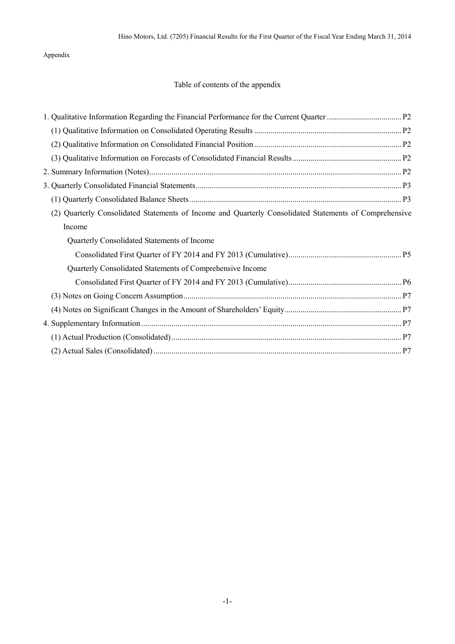## Appendix

# Table of contents of the appendix

| Quarterly Consolidated Statements of Income and Quarterly Consolidated Statements of Comprehensive |  |
|----------------------------------------------------------------------------------------------------|--|
| Income                                                                                             |  |
| Quarterly Consolidated Statements of Income                                                        |  |
|                                                                                                    |  |
| Quarterly Consolidated Statements of Comprehensive Income                                          |  |
|                                                                                                    |  |
|                                                                                                    |  |
|                                                                                                    |  |
|                                                                                                    |  |
|                                                                                                    |  |
|                                                                                                    |  |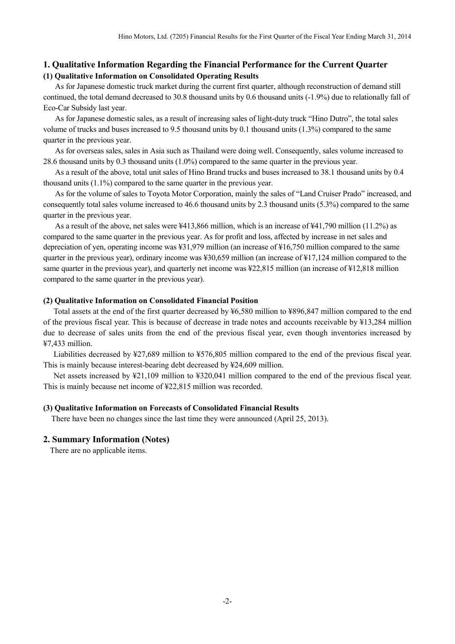### **1. Qualitative Information Regarding the Financial Performance for the Current Quarter (1) Qualitative Information on Consolidated Operating Results**

As for Japanese domestic truck market during the current first quarter, although reconstruction of demand still continued, the total demand decreased to 30.8 thousand units by 0.6 thousand units (-1.9%) due to relationally fall of Eco-Car Subsidy last year.

As for Japanese domestic sales, as a result of increasing sales of light-duty truck "Hino Dutro", the total sales volume of trucks and buses increased to 9.5 thousand units by 0.1 thousand units (1.3%) compared to the same quarter in the previous year.

As for overseas sales, sales in Asia such as Thailand were doing well. Consequently, sales volume increased to 28.6 thousand units by 0.3 thousand units (1.0%) compared to the same quarter in the previous year.

As a result of the above, total unit sales of Hino Brand trucks and buses increased to 38.1 thousand units by 0.4 thousand units (1.1%) compared to the same quarter in the previous year.

As for the volume of sales to Toyota Motor Corporation, mainly the sales of "Land Cruiser Prado" increased, and consequently total sales volume increased to 46.6 thousand units by 2.3 thousand units (5.3%) compared to the same quarter in the previous year.

As a result of the above, net sales were ¥413,866 million, which is an increase of ¥41,790 million (11.2%) as compared to the same quarter in the previous year. As for profit and loss, affected by increase in net sales and depreciation of yen, operating income was ¥31,979 million (an increase of ¥16,750 million compared to the same quarter in the previous year), ordinary income was ¥30,659 million (an increase of ¥17,124 million compared to the same quarter in the previous year), and quarterly net income was ¥22,815 million (an increase of ¥12,818 million compared to the same quarter in the previous year).

#### **(2) Qualitative Information on Consolidated Financial Position**

Total assets at the end of the first quarter decreased by ¥6,580 million to ¥896,847 million compared to the end of the previous fiscal year. This is because of decrease in trade notes and accounts receivable by ¥13,284 million due to decrease of sales units from the end of the previous fiscal year, even though inventories increased by ¥7,433 million.

Liabilities decreased by ¥27,689 million to ¥576,805 million compared to the end of the previous fiscal year. This is mainly because interest-bearing debt decreased by ¥24,609 million.

Net assets increased by ¥21,109 million to ¥320,041 million compared to the end of the previous fiscal year. This is mainly because net income of ¥22,815 million was recorded.

#### **(3) Qualitative Information on Forecasts of Consolidated Financial Results**

There have been no changes since the last time they were announced (April 25, 2013).

#### **2. Summary Information (Notes)**

There are no applicable items.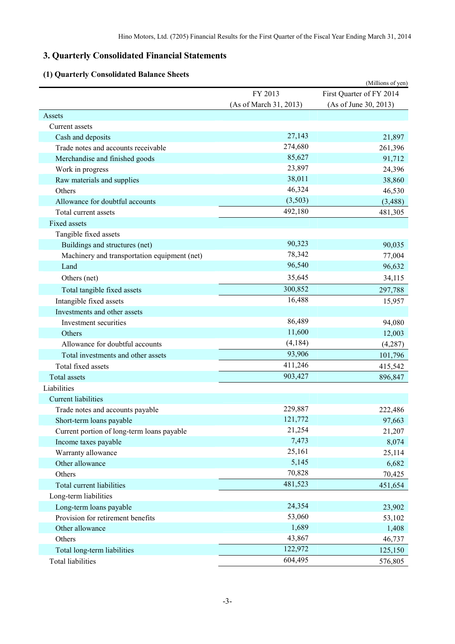# **3. Quarterly Consolidated Financial Statements**

# **(1) Quarterly Consolidated Balance Sheets**

| Qual terry Consonuated Dalance SI            |                        | (Millions of yen)        |
|----------------------------------------------|------------------------|--------------------------|
|                                              | FY 2013                | First Quarter of FY 2014 |
|                                              | (As of March 31, 2013) | (As of June 30, 2013)    |
| Assets                                       |                        |                          |
| Current assets                               |                        |                          |
| Cash and deposits                            | 27,143                 | 21,897                   |
| Trade notes and accounts receivable          | 274,680                | 261,396                  |
| Merchandise and finished goods               | 85,627                 | 91,712                   |
| Work in progress                             | 23,897                 | 24,396                   |
| Raw materials and supplies                   | 38,011                 | 38,860                   |
| Others                                       | 46,324                 | 46,530                   |
| Allowance for doubtful accounts              | (3,503)                | (3,488)                  |
| Total current assets                         | 492,180                | 481,305                  |
| Fixed assets                                 |                        |                          |
| Tangible fixed assets                        |                        |                          |
| Buildings and structures (net)               | 90,323                 | 90,035                   |
| Machinery and transportation equipment (net) | 78,342                 | 77,004                   |
| Land                                         | 96,540                 | 96,632                   |
| Others (net)                                 | 35,645                 | 34,115                   |
| Total tangible fixed assets                  | 300,852                | 297,788                  |
| Intangible fixed assets                      | 16,488                 | 15,957                   |
| Investments and other assets                 |                        |                          |
| Investment securities                        | 86,489                 | 94,080                   |
| Others                                       | 11,600                 | 12,003                   |
| Allowance for doubtful accounts              | (4,184)                | (4,287)                  |
| Total investments and other assets           | 93,906                 | 101,796                  |
| Total fixed assets                           | 411,246                | 415,542                  |
| <b>Total assets</b>                          | 903,427                | 896,847                  |
| Liabilities                                  |                        |                          |
| <b>Current liabilities</b>                   |                        |                          |
| Trade notes and accounts payable             | 229,887                | 222,486                  |
| Short-term loans payable                     | 121,772                | 97,663                   |
| Current portion of long-term loans payable   | 21,254                 | 21,207                   |
| Income taxes payable                         | 7,473                  | 8,074                    |
| Warranty allowance                           | 25,161                 | 25,114                   |
| Other allowance                              | 5,145                  | 6,682                    |
| Others                                       | 70,828                 | 70,425                   |
| Total current liabilities                    | 481,523                | 451,654                  |
| Long-term liabilities                        |                        |                          |
| Long-term loans payable                      | 24,354                 | 23,902                   |
| Provision for retirement benefits            | 53,060                 | 53,102                   |
| Other allowance                              | 1,689                  | 1,408                    |
| Others                                       | 43,867                 | 46,737                   |
| Total long-term liabilities                  | 122,972                | 125,150                  |
| <b>Total liabilities</b>                     | 604,495                | 576,805                  |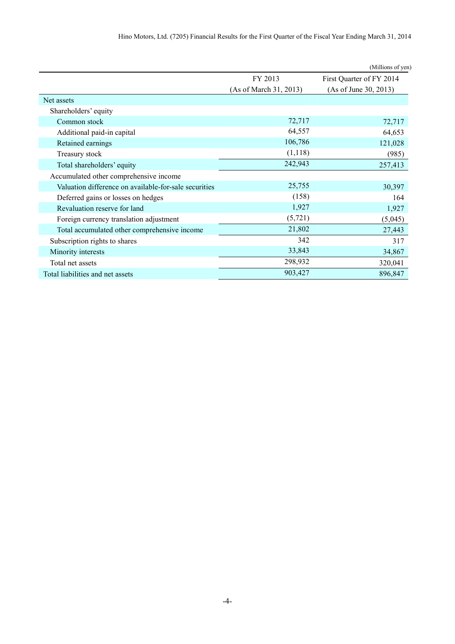|                                                       |                        | (Millions of yen)        |
|-------------------------------------------------------|------------------------|--------------------------|
|                                                       | FY 2013                | First Quarter of FY 2014 |
|                                                       | (As of March 31, 2013) | (As of June 30, 2013)    |
| Net assets                                            |                        |                          |
| Shareholders' equity                                  |                        |                          |
| Common stock                                          | 72,717                 | 72,717                   |
| Additional paid-in capital                            | 64,557                 | 64,653                   |
| Retained earnings                                     | 106,786                | 121,028                  |
| Treasury stock                                        | (1,118)                | (985)                    |
| Total shareholders' equity                            | 242,943                | 257,413                  |
| Accumulated other comprehensive income                |                        |                          |
| Valuation difference on available-for-sale securities | 25,755                 | 30,397                   |
| Deferred gains or losses on hedges                    | (158)                  | 164                      |
| Revaluation reserve for land                          | 1,927                  | 1,927                    |
| Foreign currency translation adjustment               | (5, 721)               | (5,045)                  |
| Total accumulated other comprehensive income          | 21,802                 | 27,443                   |
| Subscription rights to shares                         | 342                    | 317                      |
| Minority interests                                    | 33,843                 | 34,867                   |
| Total net assets                                      | 298,932                | 320,041                  |
| Total liabilities and net assets                      | 903,427                | 896,847                  |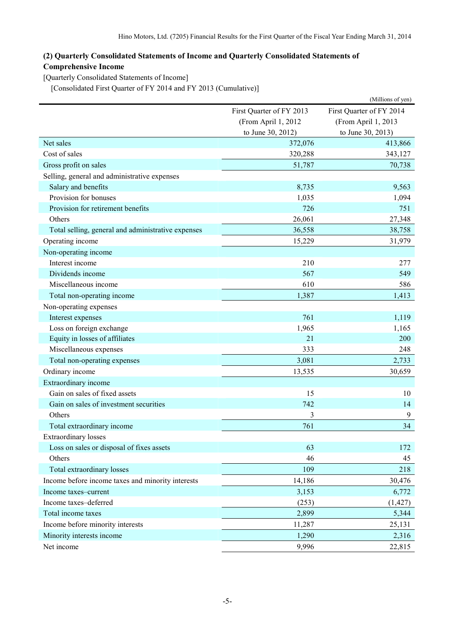# **(2) Quarterly Consolidated Statements of Income and Quarterly Consolidated Statements of Comprehensive Income**

[Quarterly Consolidated Statements of Income]

[Consolidated First Quarter of FY 2014 and FY 2013 (Cumulative)]

|                                                    |                          | (Millions of yen)        |
|----------------------------------------------------|--------------------------|--------------------------|
|                                                    | First Quarter of FY 2013 | First Quarter of FY 2014 |
|                                                    | (From April 1, 2012      | (From April 1, 2013      |
|                                                    | to June 30, 2012)        | to June 30, 2013)        |
| Net sales                                          | 372,076                  | 413,866                  |
| Cost of sales                                      | 320,288                  | 343,127                  |
| Gross profit on sales                              | 51,787                   | 70,738                   |
| Selling, general and administrative expenses       |                          |                          |
| Salary and benefits                                | 8,735                    | 9,563                    |
| Provision for bonuses                              | 1,035                    | 1,094                    |
| Provision for retirement benefits                  | 726                      | 751                      |
| Others                                             | 26,061                   | 27,348                   |
| Total selling, general and administrative expenses | 36,558                   | 38,758                   |
| Operating income                                   | 15,229                   | 31,979                   |
| Non-operating income                               |                          |                          |
| Interest income                                    | 210                      | 277                      |
| Dividends income                                   | 567                      | 549                      |
| Miscellaneous income                               | 610                      | 586                      |
| Total non-operating income                         | 1,387                    | 1,413                    |
| Non-operating expenses                             |                          |                          |
| Interest expenses                                  | 761                      | 1,119                    |
| Loss on foreign exchange                           | 1,965                    | 1,165                    |
| Equity in losses of affiliates                     | 21                       | 200                      |
| Miscellaneous expenses                             | 333                      | 248                      |
| Total non-operating expenses                       | 3,081                    | 2,733                    |
| Ordinary income                                    | 13,535                   | 30,659                   |
| Extraordinary income                               |                          |                          |
| Gain on sales of fixed assets                      | 15                       | 10                       |
| Gain on sales of investment securities             | 742                      | 14                       |
| Others                                             | 3                        | 9                        |
| Total extraordinary income                         | 761                      | 34                       |
| <b>Extraordinary losses</b>                        |                          |                          |
| Loss on sales or disposal of fixes assets          | 63                       | 172                      |
| Others                                             | 46                       | 45                       |
| Total extraordinary losses                         | 109                      | 218                      |
| Income before income taxes and minority interests  | 14,186                   | 30,476                   |
| Income taxes-current                               | 3,153                    | 6,772                    |
| Income taxes-deferred                              | (253)                    | (1, 427)                 |
| Total income taxes                                 | 2,899                    | 5,344                    |
| Income before minority interests                   | 11,287                   | 25,131                   |
| Minority interests income                          | 1,290                    | 2,316                    |
| Net income                                         | 9,996                    | 22,815                   |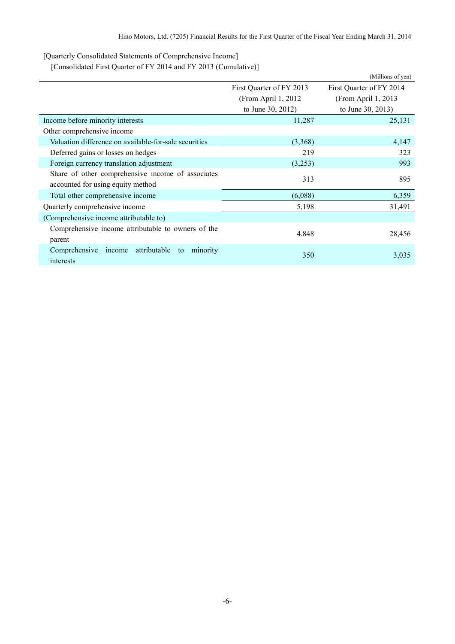[Quarterly Consolidated Statements of Comprehensive Income]

[Consolidated First Quarter of FY 2014 and FY 2013 (Cumulative)]

|                                                           |                          | (Millions of yen)        |
|-----------------------------------------------------------|--------------------------|--------------------------|
|                                                           | First Quarter of FY 2013 | First Quarter of FY 2014 |
|                                                           | (From April 1, 2012)     | (From April 1, 2013)     |
|                                                           | to June 30, 2012)        | to June 30, 2013)        |
| Income before minority interests                          | 11,287                   | 25,131                   |
| Other comprehensive income                                |                          |                          |
| Valuation difference on available-for-sale securities     | (3,368)                  | 4,147                    |
| Deferred gains or losses on hedges                        | 219                      | 323                      |
| Foreign currency translation adjustment                   | (3,253)                  | 993                      |
| Share of other comprehensive income of associates         | 313                      | 895                      |
| accounted for using equity method                         |                          |                          |
| Total other comprehensive income                          | (6,088)                  | 6,359                    |
| Quarterly comprehensive income                            | 5,198                    | 31,491                   |
| (Comprehensive income attributable to)                    |                          |                          |
| Comprehensive income attributable to owners of the        |                          |                          |
| parent                                                    | 4,848                    | 28,456                   |
| attributable<br>Comprehensive<br>minority<br>income<br>to | 350                      |                          |
| interests                                                 |                          | 3,035                    |